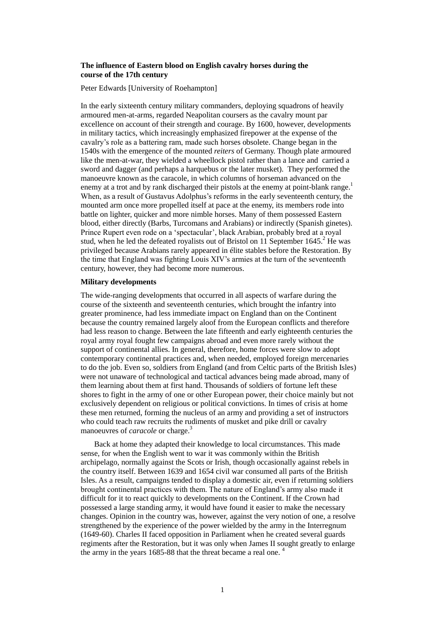# **The influence of Eastern blood on English cavalry horses during the course of the 17th century**

Peter Edwards [University of Roehampton]

In the early sixteenth century military commanders, deploying squadrons of heavily armoured men-at-arms, regarded Neapolitan coursers as the cavalry mount par excellence on account of their strength and courage. By 1600, however, developments in military tactics, which increasingly emphasized firepower at the expense of the cavalry's role as a battering ram, made such horses obsolete. Change began in the 1540s with the emergence of the mounted *reiters* of Germany. Though plate armoured like the men-at-war, they wielded a wheellock pistol rather than a lance and carried a sword and dagger (and perhaps a harquebus or the later musket). They performed the manoeuvre known as the caracole, in which columns of horseman advanced on the enemy at a trot and by rank discharged their pistols at the enemy at point-blank range.<sup>1</sup> When, as a result of Gustavus Adolphus's reforms in the early seventeenth century, the mounted arm once more propelled itself at pace at the enemy, its members rode into battle on lighter, quicker and more nimble horses. Many of them possessed Eastern blood, either directly (Barbs, Turcomans and Arabians) or indirectly (Spanish ginetes). Prince Rupert even rode on a 'spectacular', black Arabian, probably bred at a royal stud, when he led the defeated royalists out of Bristol on 11 September  $1645<sup>2</sup>$  He was privileged because Arabians rarely appeared in élite stables before the Restoration. By the time that England was fighting Louis XIV's armies at the turn of the seventeenth century, however, they had become more numerous.

## **Military developments**

The wide-ranging developments that occurred in all aspects of warfare during the course of the sixteenth and seventeenth centuries, which brought the infantry into greater prominence, had less immediate impact on England than on the Continent because the country remained largely aloof from the European conflicts and therefore had less reason to change. Between the late fifteenth and early eighteenth centuries the royal army royal fought few campaigns abroad and even more rarely without the support of continental allies. In general, therefore, home forces were slow to adopt contemporary continental practices and, when needed, employed foreign mercenaries to do the job. Even so, soldiers from England (and from Celtic parts of the British Isles) were not unaware of technological and tactical advances being made abroad, many of them learning about them at first hand. Thousands of soldiers of fortune left these shores to fight in the army of one or other European power, their choice mainly but not exclusively dependent on religious or political convictions. In times of crisis at home these men returned, forming the nucleus of an army and providing a set of instructors who could teach raw recruits the rudiments of musket and pike drill or cavalry manoeuvres of *caracole* or charge.<sup>3</sup>

Back at home they adapted their knowledge to local circumstances. This made sense, for when the English went to war it was commonly within the British archipelago, normally against the Scots or Irish, though occasionally against rebels in the country itself. Between 1639 and 1654 civil war consumed all parts of the British Isles. As a result, campaigns tended to display a domestic air, even if returning soldiers brought continental practices with them. The nature of England's army also made it difficult for it to react quickly to developments on the Continent. If the Crown had possessed a large standing army, it would have found it easier to make the necessary changes. Opinion in the country was, however, against the very notion of one, a resolve strengthened by the experience of the power wielded by the army in the Interregnum (1649-60). Charles II faced opposition in Parliament when he created several guards regiments after the Restoration, but it was only when James II sought greatly to enlarge the army in the years 1685-88 that the threat became a real one.<sup>4</sup>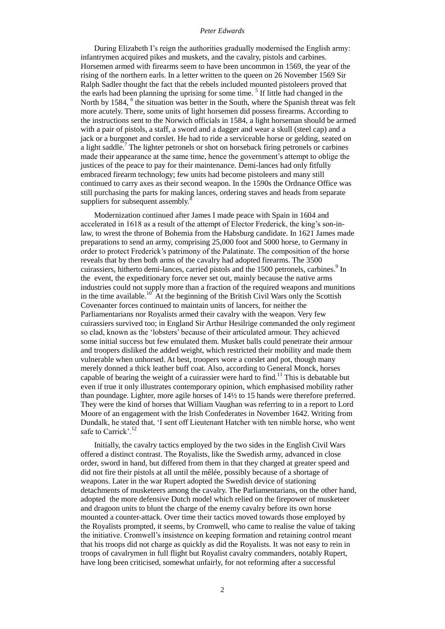During Elizabeth I's reign the authorities gradually modernised the English army: infantrymen acquired pikes and muskets, and the cavalry, pistols and carbines. Horsemen armed with firearms seem to have been uncommon in 1569, the year of the rising of the northern earls. In a letter written to the queen on 26 November 1569 Sir Ralph Sadler thought the fact that the rebels included mounted pistoleers proved that the earls had been planning the uprising for some time.<sup>5</sup> If little had changed in the North by 1584, <sup>6</sup> the situation was better in the South, where the Spanish threat was felt more acutely. There, some units of light horsemen did possess firearms. According to the instructions sent to the Norwich officials in 1584, a light horseman should be armed with a pair of pistols, a staff, a sword and a dagger and wear a skull (steel cap) and a jack or a burgonet and corslet. He had to ride a serviceable horse or gelding, seated on a light saddle.<sup>7</sup> The lighter petronels or shot on horseback firing petronels or carbines made their appearance at the same time, hence the government's attempt to oblige the justices of the peace to pay for their maintenance. Demi-lances had only fitfully embraced firearm technology; few units had become pistoleers and many still continued to carry axes as their second weapon. In the 1590s the Ordnance Office was still purchasing the parts for making lances, ordering staves and heads from separate suppliers for subsequent assembly.<sup>8</sup>

Modernization continued after James I made peace with Spain in 1604 and accelerated in 1618 as a result of the attempt of Elector Frederick, the king's son-inlaw, to wrest the throne of Bohemia from the Habsburg candidate. In 1621 James made preparations to send an army, comprising 25,000 foot and 5000 horse, to Germany in order to protect Frederick's patrimony of the Palatinate. The composition of the horse reveals that by then both arms of the cavalry had adopted firearms. The 3500 cuirassiers, hitherto demi-lances, carried pistols and the 1500 petronels, carbines.<sup>9</sup> In the event, the expeditionary force never set out, mainly because the native arms industries could not supply more than a fraction of the required weapons and munitions in the time available.<sup>10</sup> At the beginning of the British Civil Wars only the Scottish Covenanter forces continued to maintain units of lancers, for neither the Parliamentarians nor Royalists armed their cavalry with the weapon. Very few cuirassiers survived too; in England Sir Arthur Hesilrige commanded the only regiment so clad, known as the 'lobsters' because of their articulated armour. They achieved some initial success but few emulated them. Musket balls could penetrate their armour and troopers disliked the added weight, which restricted their mobility and made them vulnerable when unhorsed. At best, troopers wore a corslet and pot, though many merely donned a thick leather buff coat. Also, according to General Monck, horses capable of bearing the weight of a cuirassier were hard to find.<sup>11</sup> This is debatable but even if true it only illustrates contemporary opinion, which emphasised mobility rather than poundage. Lighter, more agile horses of 14½ to 15 hands were therefore preferred. They were the kind of horses that William Vaughan was referring to in a report to Lord Moore of an engagement with the Irish Confederates in November 1642. Writing from Dundalk, he stated that, 'I sent off Lieutenant Hatcher with ten nimble horse, who went safe to Carrick'.<sup>12</sup>

Initially, the cavalry tactics employed by the two sides in the English Civil Wars offered a distinct contrast. The Royalists, like the Swedish army, advanced in close order, sword in hand, but differed from them in that they charged at greater speed and did not fire their pistols at all until the mêlée, possibly because of a shortage of weapons. Later in the war Rupert adopted the Swedish device of stationing detachments of musketeers among the cavalry. The Parliamentarians, on the other hand, adopted the more defensive Dutch model which relied on the firepower of musketeer and dragoon units to blunt the charge of the enemy cavalry before its own horse mounted a counter-attack. Over time their tactics moved towards those employed by the Royalists prompted, it seems, by Cromwell, who came to realise the value of taking the initiative. Cromwell's insistence on keeping formation and retaining control meant that his troops did not charge as quickly as did the Royalists. It was not easy to rein in troops of cavalrymen in full flight but Royalist cavalry commanders, notably Rupert, have long been criticised, somewhat unfairly, for not reforming after a successful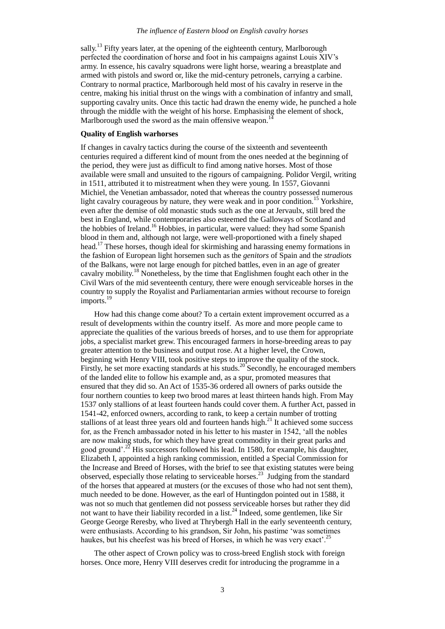sally.<sup>13</sup> Fifty years later, at the opening of the eighteenth century, Marlborough perfected the coordination of horse and foot in his campaigns against Louis XIV's army. In essence, his cavalry squadrons were light horse, wearing a breastplate and armed with pistols and sword or, like the mid-century petronels, carrying a carbine. Contrary to normal practice, Marlborough held most of his cavalry in reserve in the centre, making his initial thrust on the wings with a combination of infantry and small, supporting cavalry units. Once this tactic had drawn the enemy wide, he punched a hole through the middle with the weight of his horse. Emphasising the element of shock, Marlborough used the sword as the main offensive weapon.<sup>14</sup>

## **Quality of English warhorses**

If changes in cavalry tactics during the course of the sixteenth and seventeenth centuries required a different kind of mount from the ones needed at the beginning of the period, they were just as difficult to find among native horses. Most of those available were small and unsuited to the rigours of campaigning. Polidor Vergil, writing in 1511, attributed it to mistreatment when they were young. In 1557, Giovanni Michiel, the Venetian ambassador, noted that whereas the country possessed numerous light cavalry courageous by nature, they were weak and in poor condition.<sup>15</sup> Yorkshire, even after the demise of old monastic studs such as the one at Jervaulx, still bred the best in England, while contemporaries also esteemed the Galloways of Scotland and the hobbies of Ireland.<sup>16</sup> Hobbies, in particular, were valued: they had some Spanish blood in them and, although not large, were well-proportioned with a finely shaped head.<sup>17</sup> These horses, though ideal for skirmishing and harassing enemy formations in the fashion of European light horsemen such as the *genitors* of Spain and the *stradiots* of the Balkans, were not large enough for pitched battles, even in an age of greater cavalry mobility.<sup>18</sup> Nonetheless, by the time that Englishmen fought each other in the Civil Wars of the mid seventeenth century, there were enough serviceable horses in the country to supply the Royalist and Parliamentarian armies without recourse to foreign imports. 19

How had this change come about? To a certain extent improvement occurred as a result of developments within the country itself. As more and more people came to appreciate the qualities of the various breeds of horses, and to use them for appropriate jobs, a specialist market grew. This encouraged farmers in horse-breeding areas to pay greater attention to the business and output rose. At a higher level, the Crown, beginning with Henry VIII, took positive steps to improve the quality of the stock. Firstly, he set more exacting standards at his studs.<sup>20</sup> Secondly, he encouraged members of the landed elite to follow his example and, as a spur, promoted measures that ensured that they did so. An Act of 1535-36 ordered all owners of parks outside the four northern counties to keep two brood mares at least thirteen hands high. From May 1537 only stallions of at least fourteen hands could cover them. A further Act, passed in 1541-42, enforced owners, according to rank, to keep a certain number of trotting stallions of at least three years old and fourteen hands high. $^{21}$  It achieved some success for, as the French ambassador noted in his letter to his master in 1542, 'all the nobles are now making studs, for which they have great commodity in their great parks and good ground'.<sup>22</sup> His successors followed his lead. In 1580, for example, his daughter, Elizabeth I, appointed a high ranking commission, entitled a Special Commission for the Increase and Breed of Horses, with the brief to see that existing statutes were being observed, especially those relating to serviceable horses.<sup>23</sup> Judging from the standard of the horses that appeared at musters (or the excuses of those who had not sent them), much needed to be done. However, as the earl of Huntingdon pointed out in 1588, it was not so much that gentlemen did not possess serviceable horses but rather they did not want to have their liability recorded in a list.<sup>24</sup> Indeed, some gentlemen, like Sir George George Reresby, who lived at Thrybergh Hall in the early seventeenth century, were enthusiasts. According to his grandson, Sir John, his pastime 'was sometimes haukes, but his cheefest was his breed of Horses, in which he was very exact'.<sup>25</sup>

The other aspect of Crown policy was to cross-breed English stock with foreign horses. Once more, Henry VIII deserves credit for introducing the programme in a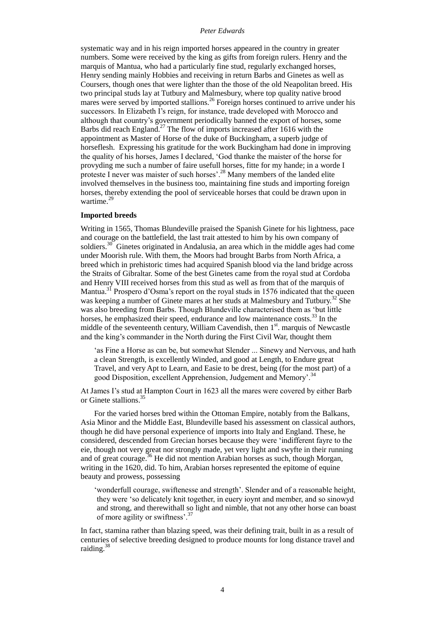systematic way and in his reign imported horses appeared in the country in greater numbers. Some were received by the king as gifts from foreign rulers. Henry and the marquis of Mantua, who had a particularly fine stud, regularly exchanged horses, Henry sending mainly Hobbies and receiving in return Barbs and Ginetes as well as Coursers, though ones that were lighter than the those of the old Neapolitan breed. His two principal studs lay at Tutbury and Malmesbury, where top quality native brood mares were served by imported stallions.<sup>26</sup> Foreign horses continued to arrive under his successors. In Elizabeth I's reign, for instance, trade developed with Morocco and although that country's government periodically banned the export of horses, some Barbs did reach England.<sup>27</sup> The flow of imports increased after 1616 with the appointment as Master of Horse of the duke of Buckingham, a superb judge of horseflesh. Expressing his gratitude for the work Buckingham had done in improving the quality of his horses, James I declared, 'God thanke the maister of the horse for provyding me such a number of faire usefull horses, fitte for my hande; in a worde I proteste I never was maister of such horses'.<sup>28</sup> Many members of the landed elite involved themselves in the business too, maintaining fine studs and importing foreign horses, thereby extending the pool of serviceable horses that could be drawn upon in wartime.<sup>29</sup>

# **Imported breeds**

Writing in 1565, Thomas Blundeville praised the Spanish Ginete for his lightness, pace and courage on the battlefield, the last trait attested to him by his own company of soldiers. $30^\circ$  Ginetes originated in Andalusia, an area which in the middle ages had come under Moorish rule. With them, the Moors had brought Barbs from North Africa, a breed which in prehistoric times had acquired Spanish blood via the land bridge across the Straits of Gibraltar. Some of the best Ginetes came from the royal stud at Cordoba and Henry VIII received horses from this stud as well as from that of the marquis of Mantua.<sup>31</sup> Prospero d'Osma's report on the royal studs in 1576 indicated that the queen was keeping a number of Ginete mares at her studs at Malmesbury and Tutbury.<sup>32</sup> She was also breeding from Barbs. Though Blundeville characterised them as 'but little horses, he emphasized their speed, endurance and low maintenance costs.<sup>33</sup> In the middle of the seventeenth century, William Cavendish, then  $1<sup>st</sup>$ . marquis of Newcastle and the king's commander in the North during the First Civil War, thought them

'as Fine a Horse as can be, but somewhat Slender ... Sinewy and Nervous, and hath a clean Strength, is excellently Winded, and good at Length, to Endure great Travel, and very Apt to Learn, and Easie to be drest, being (for the most part) of a good Disposition, excellent Apprehension, Judgement and Memory'.<sup>34</sup>

At James I's stud at Hampton Court in 1623 all the mares were covered by either Barb or Ginete stallions.<sup>35</sup>

For the varied horses bred within the Ottoman Empire, notably from the Balkans, Asia Minor and the Middle East, Blundeville based his assessment on classical authors, though he did have personal experience of imports into Italy and England. These, he considered, descended from Grecian horses because they were 'indifferent fayre to the eie, though not very great nor strongly made, yet very light and swyfte in their running and of great courage.<sup>36</sup> He did not mention Arabian horses as such, though Morgan, writing in the 1620, did. To him, Arabian horses represented the epitome of equine beauty and prowess, possessing

'wonderfull courage, swiftenesse and strength'. Slender and of a reasonable height, they were 'so delicately knit together, in euery ioynt and member, and so sinowyd and strong, and therewithall so light and nimble, that not any other horse can boast of more agility or swiftness'.<sup>3</sup>

In fact, stamina rather than blazing speed, was their defining trait, built in as a result of centuries of selective breeding designed to produce mounts for long distance travel and raiding.<sup>38</sup>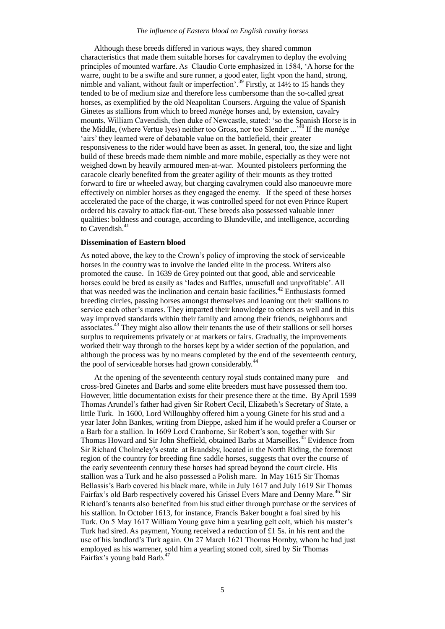### *The influence of Eastern blood on English cavalry horses*

Although these breeds differed in various ways, they shared common characteristics that made them suitable horses for cavalrymen to deploy the evolving principles of mounted warfare. As Claudio Corte emphasized in 1584, 'A horse for the warre, ought to be a swifte and sure runner, a good eater, light vpon the hand, strong, nimble and valiant, without fault or imperfection'.<sup>39</sup> Firstly, at 14½ to 15 hands they tended to be of medium size and therefore less cumbersome than the so-called great horses, as exemplified by the old Neapolitan Coursers. Arguing the value of Spanish Ginetes as stallions from which to breed *manège* horses and, by extension, cavalry mounts, William Cavendish, then duke of Newcastle, stated: 'so the Spanish Horse is in the Middle, (where Vertue lyes) neither too Gross, nor too Slender ...'<sup>40</sup> If the *manège* 'airs' they learned were of debatable value on the battlefield, their greater responsiveness to the rider would have been as asset. In general, too, the size and light build of these breeds made them nimble and more mobile, especially as they were not weighed down by heavily armoured men-at-war. Mounted pistoleers performing the caracole clearly benefited from the greater agility of their mounts as they trotted forward to fire or wheeled away, but charging cavalrymen could also manoeuvre more effectively on nimbler horses as they engaged the enemy. If the speed of these horses accelerated the pace of the charge, it was controlled speed for not even Prince Rupert ordered his cavalry to attack flat-out. These breeds also possessed valuable inner qualities: boldness and courage, according to Blundeville, and intelligence, according to Cavendish. $41$ 

## **Dissemination of Eastern blood**

As noted above, the key to the Crown's policy of improving the stock of serviceable horses in the country was to involve the landed elite in the process. Writers also promoted the cause. In 1639 de Grey pointed out that good, able and serviceable horses could be bred as easily as 'Iades and Baffles, unusefull and unprofitable'. All that was needed was the inclination and certain basic facilities.<sup>42</sup> Enthusiasts formed breeding circles, passing horses amongst themselves and loaning out their stallions to service each other's mares. They imparted their knowledge to others as well and in this way improved standards within their family and among their friends, neighbours and associates.<sup>43</sup> They might also allow their tenants the use of their stallions or sell horses surplus to requirements privately or at markets or fairs. Gradually, the improvements worked their way through to the horses kept by a wider section of the population, and although the process was by no means completed by the end of the seventeenth century, the pool of serviceable horses had grown considerably.<sup>44</sup>

At the opening of the seventeenth century royal studs contained many pure – and cross-bred Ginetes and Barbs and some elite breeders must have possessed them too. However, little documentation exists for their presence there at the time. By April 1599 Thomas Arundel's father had given Sir Robert Cecil, Elizabeth's Secretary of State, a little Turk. In 1600, Lord Willoughby offered him a young Ginete for his stud and a year later John Bankes, writing from Dieppe, asked him if he would prefer a Courser or a Barb for a stallion. In 1609 Lord Cranborne, Sir Robert's son, together with Sir Thomas Howard and Sir John Sheffield, obtained Barbs at Marseilles.<sup>45</sup> Evidence from Sir Richard Cholmeley's estate at Brandsby, located in the North Riding, the foremost region of the country for breeding fine saddle horses, suggests that over the course of the early seventeenth century these horses had spread beyond the court circle. His stallion was a Turk and he also possessed a Polish mare. In May 1615 Sir Thomas Bellassis's Barb covered his black mare, while in July 1617 and July 1619 Sir Thomas Fairfax's old Barb respectively covered his Grissel Evers Mare and Denny Mare.<sup>46</sup> Sir Richard's tenants also benefited from his stud either through purchase or the services of his stallion. In October 1613, for instance, Francis Baker bought a foal sired by his Turk. On 5 May 1617 William Young gave him a yearling gelt colt, which his master's Turk had sired. As payment, Young received a reduction of £1 5s. in his rent and the use of his landlord's Turk again. On 27 March 1621 Thomas Hornby, whom he had just employed as his warrener, sold him a yearling stoned colt, sired by Sir Thomas Fairfax's young bald Barb.<sup>47</sup>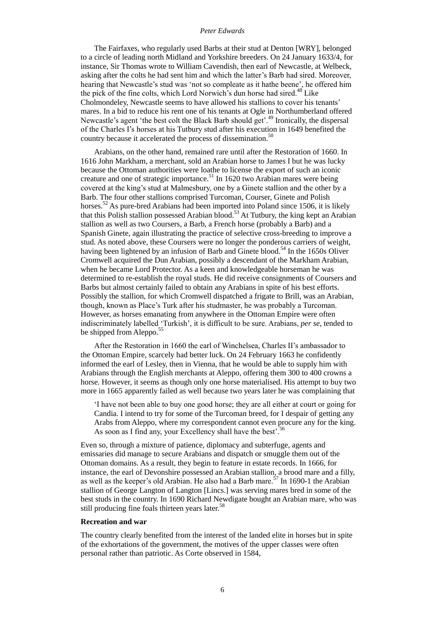The Fairfaxes, who regularly used Barbs at their stud at Denton [WRY], belonged to a circle of leading north Midland and Yorkshire breeders. On 24 January 1633/4, for instance, Sir Thomas wrote to William Cavendish, then earl of Newcastle, at Welbeck, asking after the colts he had sent him and which the latter's Barb had sired. Moreover, hearing that Newcastle's stud was 'not so compleate as it hathe beene', he offered him the pick of the fine colts, which Lord Norwich's dun horse had sired.<sup>48</sup> Like Cholmondeley, Newcastle seems to have allowed his stallions to cover his tenants' mares. In a bid to reduce his rent one of his tenants at Ogle in Northumberland offered Newcastle's agent 'the best colt the Black Barb should get'.<sup>49</sup> Ironically, the dispersal of the Charles I's horses at his Tutbury stud after his execution in 1649 benefited the country because it accelerated the process of dissemination.<sup>50</sup>

Arabians, on the other hand, remained rare until after the Restoration of 1660. In 1616 John Markham, a merchant, sold an Arabian horse to James I but he was lucky because the Ottoman authorities were loathe to license the export of such an iconic creature and one of strategic importance.<sup>51</sup> In 1620 two Arabian mares were being covered at the king's stud at Malmesbury, one by a Ginete stallion and the other by a Barb. The four other stallions comprised Turcoman, Courser, Ginete and Polish horses.<sup>52</sup> As pure-bred Arabians had been imported into Poland since 1506, it is likely that this Polish stallion possessed Arabian blood.<sup>53</sup> At Tutbury, the king kept an Arabian stallion as well as two Coursers, a Barb, a French horse (probably a Barb) and a Spanish Ginete, again illustrating the practice of selective cross-breeding to improve a stud. As noted above, these Coursers were no longer the ponderous carriers of weight, having been lightened by an infusion of Barb and Ginete blood.<sup>54</sup> In the 1650s Oliver Cromwell acquired the Dun Arabian, possibly a descendant of the Markham Arabian, when he became Lord Protector. As a keen and knowledgeable horseman he was determined to re-establish the royal studs. He did receive consignments of Coursers and Barbs but almost certainly failed to obtain any Arabians in spite of his best efforts. Possibly the stallion, for which Cromwell dispatched a frigate to Brill, was an Arabian, though, known as Place's Turk after his studmaster, he was probably a Turcoman. However, as horses emanating from anywhere in the Ottoman Empire were often indiscriminately labelled 'Turkish', it is difficult to be sure. Arabians, *per se*, tended to be shipped from Aleppo.<sup>55</sup>

After the Restoration in 1660 the earl of Winchelsea, Charles II's ambassador to the Ottoman Empire, scarcely had better luck. On 24 February 1663 he confidently informed the earl of Lesley, then in Vienna, that he would be able to supply him with Arabians through the English merchants at Aleppo, offering them 300 to 400 crowns a horse. However, it seems as though only one horse materialised. His attempt to buy two more in 1665 apparently failed as well because two years later he was complaining that

'I have not been able to buy one good horse; they are all either at court or going for Candia. I intend to try for some of the Turcoman breed, for I despair of getting any Arabs from Aleppo, where my correspondent cannot even procure any for the king. As soon as I find any, your Excellency shall have the best'.<sup>56</sup>

Even so, through a mixture of patience, diplomacy and subterfuge, agents and emissaries did manage to secure Arabians and dispatch or smuggle them out of the Ottoman domains. As a result, they begin to feature in estate records. In 1666, for instance, the earl of Devonshire possessed an Arabian stallion, a brood mare and a filly, as well as the keeper's old Arabian. He also had a Barb mare.<sup>57</sup> In 1690-1 the Arabian stallion of George Langton of Langton [Lincs.] was serving mares bred in some of the best studs in the country. In 1690 Richard Newdigate bought an Arabian mare, who was still producing fine foals thirteen years later.<sup>5</sup>

## **Recreation and war**

The country clearly benefited from the interest of the landed elite in horses but in spite of the exhortations of the government, the motives of the upper classes were often personal rather than patriotic. As Corte observed in 1584,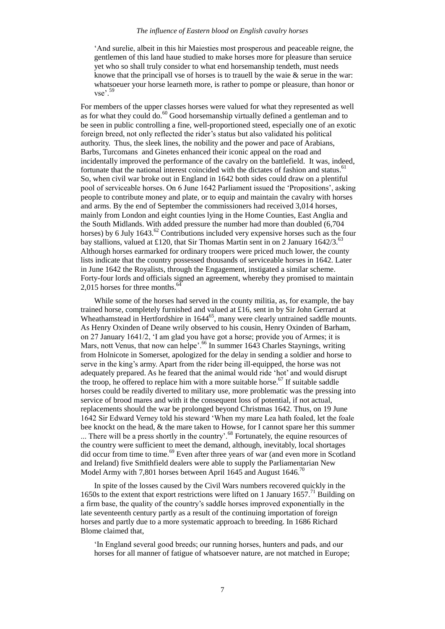### *The influence of Eastern blood on English cavalry horses*

'And surelie, albeit in this hir Maiesties most prosperous and peaceable reigne, the gentlemen of this land haue studied to make horses more for pleasure than seruice yet who so shall truly consider to what end horsemanship tendeth, must needs knowe that the principall vse of horses is to trauell by the waie  $\&$  serue in the war: whatsoeuer your horse learneth more, is rather to pompe or pleasure, than honor or  $vse$ <sup>59</sup>

For members of the upper classes horses were valued for what they represented as well as for what they could do. $^{60}$  Good horsemanship virtually defined a gentleman and to be seen in public controlling a fine, well-proportioned steed, especially one of an exotic foreign breed, not only reflected the rider's status but also validated his political authority. Thus, the sleek lines, the nobility and the power and pace of Arabians, Barbs, Turcomans and Ginetes enhanced their iconic appeal on the road and incidentally improved the performance of the cavalry on the battlefield. It was, indeed, fortunate that the national interest coincided with the dictates of fashion and status.<sup>61</sup> So, when civil war broke out in England in 1642 both sides could draw on a plentiful pool of serviceable horses. On 6 June 1642 Parliament issued the 'Propositions', asking people to contribute money and plate, or to equip and maintain the cavalry with horses and arms. By the end of September the commissioners had received 3,014 horses, mainly from London and eight counties lying in the Home Counties, East Anglia and the South Midlands. With added pressure the number had more than doubled (6,704 horses) by 6 July 1643.<sup>62</sup> Contributions included very expensive horses such as the four bay stallions, valued at £120, that Sir Thomas Martin sent in on 2 January  $1642/3$ .<sup>63</sup> Although horses earmarked for ordinary troopers were priced much lower, the county lists indicate that the country possessed thousands of serviceable horses in 1642. Later in June 1642 the Royalists, through the Engagement, instigated a similar scheme. Forty-four lords and officials signed an agreement, whereby they promised to maintain 2,015 horses for three months.<sup>6</sup>

While some of the horses had served in the county militia, as, for example, the bay trained horse, completely furnished and valued at £16, sent in by Sir John Gerrard at Wheathamstead in Hertfordshire in 1644<sup>65</sup>, many were clearly untrained saddle mounts. As Henry Oxinden of Deane wrily observed to his cousin, Henry Oxinden of Barham, on 27 January 1641/2, 'I am glad you have got a horse; provide you of Armes; it is Mars, nott Venus, that now can helpe'.<sup>66</sup> In summer 1643 Charles Staynings, writing from Holnicote in Somerset, apologized for the delay in sending a soldier and horse to serve in the king's army. Apart from the rider being ill-equipped, the horse was not adequately prepared. As he feared that the animal would ride 'hot' and would disrupt the troop, he offered to replace him with a more suitable horse.<sup>67</sup> If suitable saddle horses could be readily diverted to military use, more problematic was the pressing into service of brood mares and with it the consequent loss of potential, if not actual, replacements should the war be prolonged beyond Christmas 1642. Thus, on 19 June 1642 Sir Edward Verney told his steward 'When my mare Lea hath foaled, let the foale bee knockt on the head, & the mare taken to Howse, for I cannot spare her this summer ... There will be a press shortly in the country'.<sup>68</sup> Fortunately, the equine resources of the country were sufficient to meet the demand, although, inevitably, local shortages did occur from time to time.<sup>69</sup> Even after three years of war (and even more in Scotland and Ireland) five Smithfield dealers were able to supply the Parliamentarian New Model Army with 7,801 horses between April 1645 and August 1646.<sup>70</sup>

In spite of the losses caused by the Civil Wars numbers recovered quickly in the 1650s to the extent that export restrictions were lifted on 1 January 1657.<sup>71</sup> Building on a firm base, the quality of the country's saddle horses improved exponentially in the late seventeenth century partly as a result of the continuing importation of foreign horses and partly due to a more systematic approach to breeding. In 1686 Richard Blome claimed that,

'In England several good breeds; our running horses, hunters and pads, and our horses for all manner of fatigue of whatsoever nature, are not matched in Europe;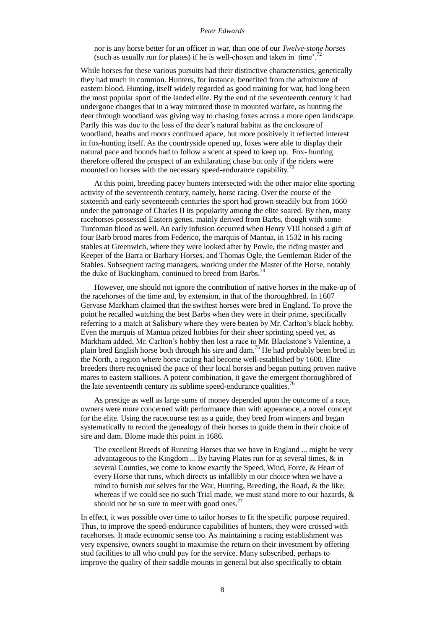nor is any horse better for an officer in war, than one of our *Twelve-stone horses* (such as usually run for plates) if he is well-chosen and taken in time'.<sup>7</sup>

While horses for these various pursuits had their distinctive characteristics, genetically they had much in common. Hunters, for instance, benefited from the admixture of eastern blood. Hunting, itself widely regarded as good training for war, had long been the most popular sport of the landed elite. By the end of the seventeenth century it had undergone changes that in a way mirrored those in mounted warfare, as hunting the deer through woodland was giving way to chasing foxes across a more open landscape. Partly this was due to the loss of the deer's natural habitat as the enclosure of woodland, heaths and moors continued apace, but more positively it reflected interest in fox-hunting itself. As the countryside opened up, foxes were able to display their natural pace and hounds had to follow a scent at speed to keep up. Fox- hunting therefore offered the prospect of an exhilarating chase but only if the riders were mounted on horses with the necessary speed-endurance capability.<sup>73</sup>

At this point, breeding pacey hunters intersected with the other major elite sporting activity of the seventeenth century, namely, horse racing. Over the course of the sixteenth and early seventeenth centuries the sport had grown steadily but from 1660 under the patronage of Charles II its popularity among the elite soared. By then, many racehorses possessed Eastern genes, mainly derived from Barbs, though with some Turcoman blood as well. An early infusion occurred when Henry VIII housed a gift of four Barb brood mares from Federico, the marquis of Mantua, in 1532 in his racing stables at Greenwich, where they were looked after by Powle, the riding master and Keeper of the Barra or Barbary Horses, and Thomas Ogle, the Gentleman Rider of the Stables. Subsequent racing managers, working under the Master of the Horse, notably the duke of Buckingham, continued to breed from Barbs.<sup>7</sup>

However, one should not ignore the contribution of native horses in the make-up of the racehorses of the time and, by extension, in that of the thoroughbred. In 1607 Gervase Markham claimed that the swiftest horses were bred in England. To prove the point he recalled watching the best Barbs when they were in their prime, specifically referring to a match at Salisbury where they were beaten by Mr. Carlton's black hobby. Even the marquis of Mantua prized hobbies for their sheer sprinting speed yet, as Markham added, Mr. Carlton's hobby then lost a race to Mr. Blackstone's Valentine, a plain bred English horse both through his sire and dam.<sup>75</sup> He had probably been bred in the North, a region where horse racing had become well-established by 1600. Elite breeders there recognised the pace of their local horses and began putting proven native mares to eastern stallions. A potent combination, it gave the emergent thoroughbred of the late seventeenth century its sublime speed-endurance qualities.<sup>76</sup>

As prestige as well as large sums of money depended upon the outcome of a race, owners were more concerned with performance than with appearance, a novel concept for the elite. Using the racecourse test as a guide, they bred from winners and began systematically to record the genealogy of their horses to guide them in their choice of sire and dam. Blome made this point in 1686.

The excellent Breeds of Running Horses that we have in England ... might be very advantageous to the Kingdom ... By having Plates run for at several times, & in several Counties, we come to know exactly the Speed, Wind, Force, & Heart of every Horse that runs, which directs us infallibly in our choice when we have a mind to furnish our selves for the War, Hunting, Breeding, the Road, & the like; whereas if we could see no such Trial made, we must stand more to our hazards, & should not be so sure to meet with good ones.<sup>7</sup>

In effect, it was possible over time to tailor horses to fit the specific purpose required. Thus, to improve the speed-endurance capabilities of hunters, they were crossed with racehorses. It made economic sense too. As maintaining a racing establishment was very expensive, owners sought to maximise the return on their investment by offering stud facilities to all who could pay for the service. Many subscribed, perhaps to improve the quality of their saddle mounts in general but also specifically to obtain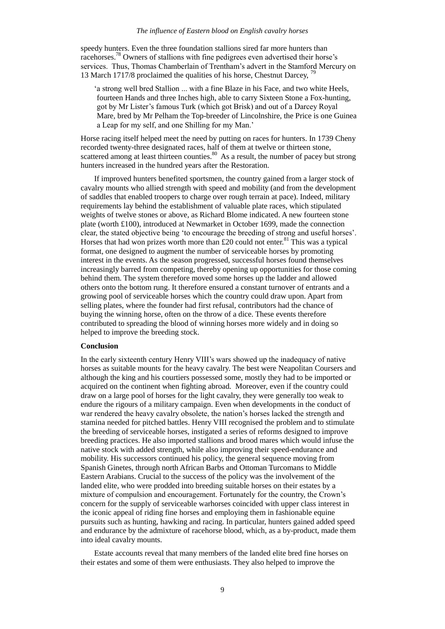#### *The influence of Eastern blood on English cavalry horses*

speedy hunters. Even the three foundation stallions sired far more hunters than racehorses.<sup>78</sup> Owners of stallions with fine pedigrees even advertised their horse's services. Thus, Thomas Chamberlain of Trentham's advert in the Stamford Mercury on 13 March 1717/8 proclaimed the qualities of his horse, Chestnut Darcey,

'a strong well bred Stallion ... with a fine Blaze in his Face, and two white Heels, fourteen Hands and three Inches high, able to carry Sixteen Stone a Fox-hunting, got by Mr Lister's famous Turk (which got Brisk) and out of a Darcey Royal Mare, bred by Mr Pelham the Top-breeder of Lincolnshire, the Price is one Guinea a Leap for my self, and one Shilling for my Man.'

Horse racing itself helped meet the need by putting on races for hunters. In 1739 Cheny recorded twenty-three designated races, half of them at twelve or thirteen stone, scattered among at least thirteen counties. $80$  As a result, the number of pacey but strong hunters increased in the hundred years after the Restoration.

If improved hunters benefited sportsmen, the country gained from a larger stock of cavalry mounts who allied strength with speed and mobility (and from the development of saddles that enabled troopers to charge over rough terrain at pace). Indeed, military requirements lay behind the establishment of valuable plate races, which stipulated weights of twelve stones or above, as Richard Blome indicated. A new fourteen stone plate (worth £100), introduced at Newmarket in October 1699, made the connection clear, the stated objective being 'to encourage the breeding of strong and useful horses'. Horses that had won prizes worth more than  $£20$  could not enter.<sup>81</sup> This was a typical format, one designed to augment the number of serviceable horses by promoting interest in the events. As the season progressed, successful horses found themselves increasingly barred from competing, thereby opening up opportunities for those coming behind them. The system therefore moved some horses up the ladder and allowed others onto the bottom rung. It therefore ensured a constant turnover of entrants and a growing pool of serviceable horses which the country could draw upon. Apart from selling plates, where the founder had first refusal, contributors had the chance of buying the winning horse, often on the throw of a dice. These events therefore contributed to spreading the blood of winning horses more widely and in doing so helped to improve the breeding stock.

#### **Conclusion**

In the early sixteenth century Henry VIII's wars showed up the inadequacy of native horses as suitable mounts for the heavy cavalry. The best were Neapolitan Coursers and although the king and his courtiers possessed some, mostly they had to be imported or acquired on the continent when fighting abroad. Moreover, even if the country could draw on a large pool of horses for the light cavalry, they were generally too weak to endure the rigours of a military campaign. Even when developments in the conduct of war rendered the heavy cavalry obsolete, the nation's horses lacked the strength and stamina needed for pitched battles. Henry VIII recognised the problem and to stimulate the breeding of serviceable horses, instigated a series of reforms designed to improve breeding practices. He also imported stallions and brood mares which would infuse the native stock with added strength, while also improving their speed-endurance and mobility. His successors continued his policy, the general sequence moving from Spanish Ginetes, through north African Barbs and Ottoman Turcomans to Middle Eastern Arabians. Crucial to the success of the policy was the involvement of the landed elite, who were prodded into breeding suitable horses on their estates by a mixture of compulsion and encouragement. Fortunately for the country, the Crown's concern for the supply of serviceable warhorses coincided with upper class interest in the iconic appeal of riding fine horses and employing them in fashionable equine pursuits such as hunting, hawking and racing. In particular, hunters gained added speed and endurance by the admixture of racehorse blood, which, as a by-product, made them into ideal cavalry mounts.

Estate accounts reveal that many members of the landed elite bred fine horses on their estates and some of them were enthusiasts. They also helped to improve the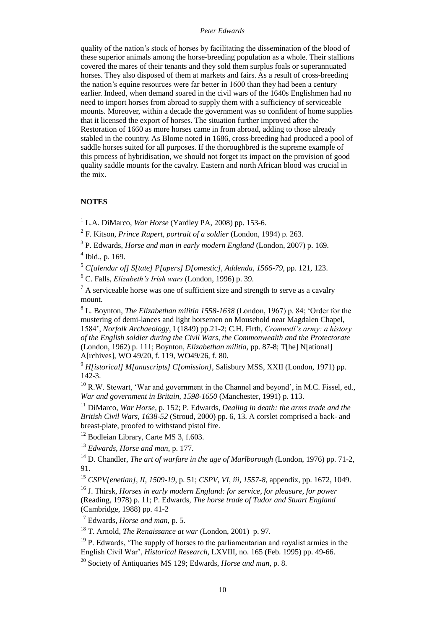quality of the nation's stock of horses by facilitating the dissemination of the blood of these superior animals among the horse-breeding population as a whole. Their stallions covered the mares of their tenants and they sold them surplus foals or superannuated horses. They also disposed of them at markets and fairs. As a result of cross-breeding the nation's equine resources were far better in 1600 than they had been a century earlier. Indeed, when demand soared in the civil wars of the 1640s Englishmen had no need to import horses from abroad to supply them with a sufficiency of serviceable mounts. Moreover, within a decade the government was so confident of home supplies that it licensed the export of horses. The situation further improved after the Restoration of 1660 as more horses came in from abroad, adding to those already stabled in the country. As Blome noted in 1686, cross-breeding had produced a pool of saddle horses suited for all purposes. If the thoroughbred is the supreme example of this process of hybridisation, we should not forget its impact on the provision of good quality saddle mounts for the cavalry. Eastern and north African blood was crucial in the mix.

# **NOTES**

**.** 

<sup>1</sup> L.A. DiMarco, *War Horse* (Yardley PA, 2008) pp. 153-6.

2 F. Kitson, *Prince Rupert, portrait of a soldier* (London, 1994) p. 263.

 $4$  Ibid., p. 169.

<sup>5</sup> *C[alendar of] S[tate] P[apers] D[omestic], Addenda, 1566-79*, pp. 121, 123.

<sup>6</sup> C. Falls, *Elizabeth's Irish wars* (London, 1996) p. 39.

 $<sup>7</sup>$  A serviceable horse was one of sufficient size and strength to serve as a cavalry</sup> mount.

8 L. Boynton, *The Elizabethan militia 1558-1638* (London, 1967) p. 84; 'Order for the mustering of demi-lances and light horsemen on Mousehold near Magdalen Chapel, 1584', *Norfolk Archaeology*, I (1849) pp.21-2; C.H. Firth, *Cromwell's army: a history of the English soldier during the Civil Wars, the Commonwealth and the Protectorate* (London, 1962) p. 111; Boynton, *Elizabethan militia*, pp. 87-8; T[he] N[ational] A[rchives], WO 49/20, f. 119, WO49/26, f. 80.

<sup>9</sup> *H[istorical] M[anuscripts] C[omission]*, Salisbury MSS, XXII (London, 1971) pp. 142-3.

 $10$  R.W. Stewart, 'War and government in the Channel and beyond', in M.C. Fissel, ed., *War and government in Britain, 1598-1650* (Manchester, 1991) p. 113.

<sup>11</sup> DiMarco, *War Horse,* p. 152; P. Edwards, *Dealing in death: the arms trade and the British Civil Wars, 1638-52* (Stroud, 2000) pp. 6, 13. A corslet comprised a back- and breast-plate, proofed to withstand pistol fire.

<sup>12</sup> Bodleian Library, Carte MS 3, f.603.

<sup>13</sup> *Edwards, Horse and man*, p. 177.

<sup>14</sup> D. Chandler, *The art of warfare in the age of Marlborough* (London, 1976) pp. 71-2, 91.

<sup>15</sup> *CSPV[enetian], II, 1509-19*, p. 51; *CSPV, VI, iii, 1557-8*, appendix, pp. 1672, 1049.

<sup>16</sup> J. Thirsk, *Horses in early modern England: for service, for pleasure, for power* (Reading, 1978) p. 11; P. Edwards, *The horse trade of Tudor and Stuart England* (Cambridge, 1988) pp. 41-2

<sup>17</sup> Edwards, *Horse and man*, p. 5.

<sup>18</sup> T. Arnold, *The Renaissance at war* (London, 2001) p. 97.

 $19$  P. Edwards, 'The supply of horses to the parliamentarian and royalist armies in the English Civil War', *Historical Research*, LXVIII, no. 165 (Feb. 1995) pp. 49-66.

<sup>20</sup> Society of Antiquaries MS 129; Edwards, *Horse and man*, p. 8.

<sup>3</sup> P. Edwards, *Horse and man in early modern England* (London, 2007) p. 169.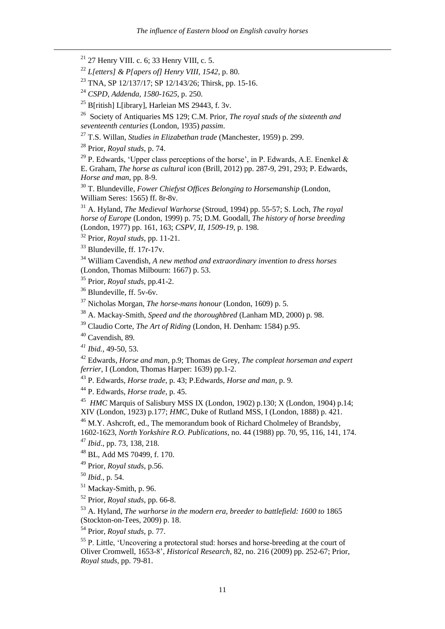Society of Antiquaries MS 129; C.M. Prior, *The royal studs of the sixteenth and seventeenth centuries* (London, 1935) *passim*.

T.S. Willan, *Studies in Elizabethan trade* (Manchester, 1959) p. 299.

Prior, *Royal studs*, p. 74.

<sup>29</sup> P. Edwards, 'Upper class perceptions of the horse', in P. Edwards, A.E. Enenkel  $\&$ E. Graham, *The horse as cultural* icon (Brill, 2012) pp. 287-9, 291, 293; P. Edwards, *Horse and man*, pp. 8-9.

 T. Blundeville, *Fower Chiefyst Offices Belonging to Horsemanship* (London, William Seres: 1565) ff. 8r-8v.

 A. Hyland, *The Medieval Warhorse* (Stroud, 1994) pp. 55-57; S. Loch, *The royal horse of Europe* (London, 1999) p. 75; D.M. Goodall, *The history of horse breeding*  (London, 1977) pp. 161, 163; *CSPV, II, 1509-19*, p. 198.

Prior, *Royal studs*, pp. 11-21.

Blundeville, ff. 17r-17v.

 William Cavendish, *A new method and extraordinary invention to dress horses* (London, Thomas Milbourn: 1667) p. 53.

Prior, *Royal studs*, pp.41-2.

Blundeville, ff. 5v-6v.

Nicholas Morgan, *The horse-mans honour* (London, 1609) p. 5.

A. Mackay-Smith, *Speed and the thoroughbred* (Lanham MD, 2000) p. 98.

Claudio Corte, *The Art of Riding* (London, H. Denham: 1584) p.95.

Cavendish, 89.

*Ibid.*, 49-50, 53.

 Edwards, *Horse and man*, p.9; Thomas de Grey, *The compleat horseman and expert ferrier*, I (London, Thomas Harper: 1639) pp.1-2.

P. Edwards, *Horse trade*, p. 43; P.Edwards, *Horse and man*, p. 9.

P. Edwards, *Horse trade*, p. 45.

<sup>45</sup> *HMC* Marquis of Salisbury MSS IX (London, 1902) p.130; X (London, 1904) p.14; XIV (London, 1923) p.177; *HMC*, Duke of Rutland MSS, I (London, 1888) p. 421.

<sup>46</sup> M.Y. Ashcroft, ed., The memorandum book of Richard Cholmeley of Brandsby,

1602-1623, *North Yorkshire R.O. Publications*, no. 44 (1988) pp. 70, 95, 116, 141, 174. *Ibid*., pp. 73, 138, 218.

BL, Add MS 70499, f. 170.

Prior, *Royal studs*, p.56.

*Ibid.*, p. 54.

Mackay-Smith, p. 96.

Prior, *Royal studs*, pp. 66-8.

 A. Hyland, *The warhorse in the modern era, breeder to battlefield: 1600 to* 1865 (Stockton-on-Tees, 2009) p. 18.

Prior, *Royal studs*, p. 77.

 P. Little, 'Uncovering a protectoral stud: horses and horse-breeding at the court of Oliver Cromwell, 1653-8', *Historical Research*, 82, no. 216 (2009) pp. 252-67; Prior, *Royal studs*, pp. 79-81.

27 Henry VIII. c. 6; 33 Henry VIII, c. 5.

*L[etters] & P[apers of] Henry VIII, 1542*, p. 80.

<sup>&</sup>lt;sup>23</sup> TNA, SP 12/137/17; SP 12/143/26; Thirsk, pp. 15-16.

*CSPD, Addenda, 1580-1625*, p. 250.

B[ritish] L[ibrary], Harleian MS 29443, f. 3v.